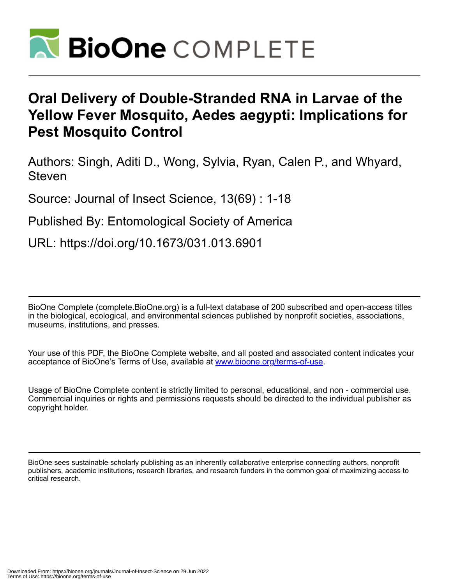

# **Oral Delivery of Double-Stranded RNA in Larvae of the Yellow Fever Mosquito, Aedes aegypti: Implications for Pest Mosquito Control**

Authors: Singh, Aditi D., Wong, Sylvia, Ryan, Calen P., and Whyard, **Steven** 

Source: Journal of Insect Science, 13(69) : 1-18

Published By: Entomological Society of America

URL: https://doi.org/10.1673/031.013.6901

BioOne Complete (complete.BioOne.org) is a full-text database of 200 subscribed and open-access titles in the biological, ecological, and environmental sciences published by nonprofit societies, associations, museums, institutions, and presses.

Your use of this PDF, the BioOne Complete website, and all posted and associated content indicates your acceptance of BioOne's Terms of Use, available at www.bioone.org/terms-of-use.

Usage of BioOne Complete content is strictly limited to personal, educational, and non - commercial use. Commercial inquiries or rights and permissions requests should be directed to the individual publisher as copyright holder.

BioOne sees sustainable scholarly publishing as an inherently collaborative enterprise connecting authors, nonprofit publishers, academic institutions, research libraries, and research funders in the common goal of maximizing access to critical research.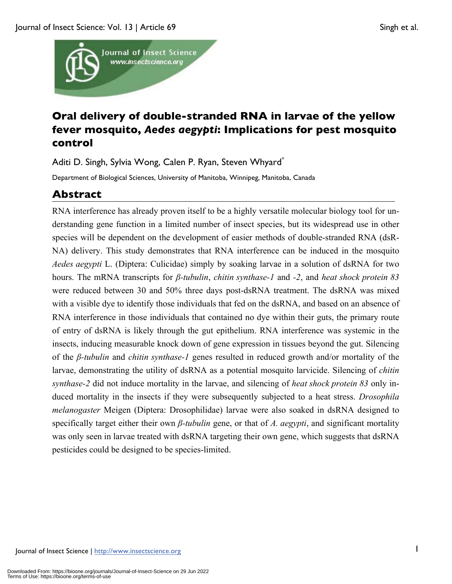

# **Oral delivery of double-stranded RNA in larvae of the yellow fever mosquito,** *Aedes aegypti***: Implications for pest mosquito control**

Aditi D. Singh, Sylvia Wong, Calen P. Ryan, Steven Whyard\*

Department of Biological Sciences, University of Manitoba, Winnipeg, Manitoba, Canada

# **Abstract**

RNA interference has already proven itself to be a highly versatile molecular biology tool for understanding gene function in a limited number of insect species, but its widespread use in other species will be dependent on the development of easier methods of double-stranded RNA (dsR-NA) delivery. This study demonstrates that RNA interference can be induced in the mosquito *Aedes aegypti* L. (Diptera: Culicidae) simply by soaking larvae in a solution of dsRNA for two hours. The mRNA transcripts for *β-tubulin*, *chitin synthase-1* and *-2*, and *heat shock protein 83* were reduced between 30 and 50% three days post-dsRNA treatment. The dsRNA was mixed with a visible dye to identify those individuals that fed on the dsRNA, and based on an absence of RNA interference in those individuals that contained no dye within their guts, the primary route of entry of dsRNA is likely through the gut epithelium. RNA interference was systemic in the insects, inducing measurable knock down of gene expression in tissues beyond the gut. Silencing of the *β-tubulin* and *chitin synthase-1* genes resulted in reduced growth and/or mortality of the larvae, demonstrating the utility of dsRNA as a potential mosquito larvicide. Silencing of *chitin synthase-2* did not induce mortality in the larvae, and silencing of *heat shock protein 83* only induced mortality in the insects if they were subsequently subjected to a heat stress. *Drosophila melanogaster* Meigen (Diptera: Drosophilidae) larvae were also soaked in dsRNA designed to specifically target either their own *β-tubulin* gene, or that of *A. aegypti*, and significant mortality was only seen in larvae treated with dsRNA targeting their own gene, which suggests that dsRNA pesticides could be designed to be species-limited.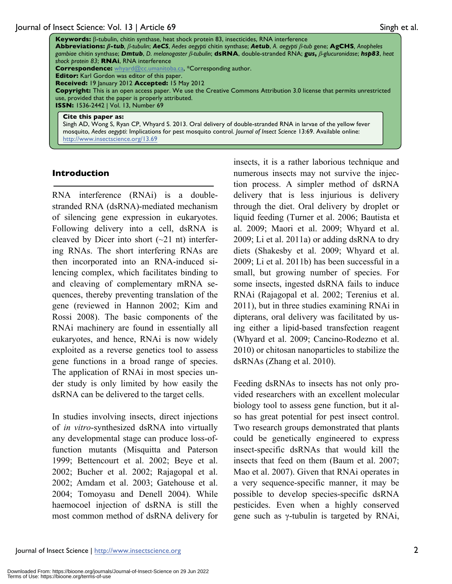| <b>Keywords:</b> $\beta$ -tubulin, chitin synthase, heat shock protein 83, insecticides, RNA interference<br><b>Abbreviations: <math>\beta</math>-tub</b> , $\beta$ -tubulin; AeCS, Aedes aegypti chitin synthase; Aetub, A. aegypti $\beta$ -tub gene; AgCHS, Anopheles<br>gambiae chitin synthase; Dmtub, D. melanogaster ß-tubulin; dsRNA, double-stranded RNA; gus, ß-glucuronidase; hsp83, heat<br>shock protein 83; RNAi, RNA interference<br><b>Correspondence:</b> whyard@cc.umanitoba.ca, *Corresponding author.<br><b>Editor:</b> Karl Gordon was editor of this paper.<br>Received: 19 January 2012 Accepted: 15 May 2012<br><b>Copyright:</b> This is an open access paper. We use the Creative Commons Attribution 3.0 license that permits unrestricted<br>use, provided that the paper is properly attributed.<br><b>ISSN: 1536-2442   Vol. 13, Number 69</b> |
|------------------------------------------------------------------------------------------------------------------------------------------------------------------------------------------------------------------------------------------------------------------------------------------------------------------------------------------------------------------------------------------------------------------------------------------------------------------------------------------------------------------------------------------------------------------------------------------------------------------------------------------------------------------------------------------------------------------------------------------------------------------------------------------------------------------------------------------------------------------------------|
| Cite this paper as:<br>Singh AD, Wong S, Ryan CP, Whyard S. 2013. Oral delivery of double-stranded RNA in larvae of the yellow fever<br>mosquito, Aedes aegypti: Implications for pest mosquito control. Journal of Insect Science 13:69. Available online:<br>http://www.insectscience.org/13.69                                                                                                                                                                                                                                                                                                                                                                                                                                                                                                                                                                            |

### **Introduction**

RNA interference (RNAi) is a doublestranded RNA (dsRNA)-mediated mechanism of silencing gene expression in eukaryotes. Following delivery into a cell, dsRNA is cleaved by Dicer into short  $(\sim 21$  nt) interfering RNAs. The short interfering RNAs are then incorporated into an RNA-induced silencing complex, which facilitates binding to and cleaving of complementary mRNA sequences, thereby preventing translation of the gene (reviewed in Hannon 2002; Kim and Rossi 2008). The basic components of the RNAi machinery are found in essentially all eukaryotes, and hence, RNAi is now widely exploited as a reverse genetics tool to assess gene functions in a broad range of species. The application of RNAi in most species under study is only limited by how easily the dsRNA can be delivered to the target cells.

In studies involving insects, direct injections of *in vitro*-synthesized dsRNA into virtually any developmental stage can produce loss-offunction mutants (Misquitta and Paterson 1999; Bettencourt et al. 2002; Beye et al. 2002; Bucher et al. 2002; Rajagopal et al. 2002; Amdam et al. 2003; Gatehouse et al. 2004; Tomoyasu and Denell 2004). While haemocoel injection of dsRNA is still the most common method of dsRNA delivery for insects, it is a rather laborious technique and numerous insects may not survive the injection process. A simpler method of dsRNA delivery that is less injurious is delivery through the diet. Oral delivery by droplet or liquid feeding (Turner et al. 2006; Bautista et al. 2009; Maori et al. 2009; Whyard et al. 2009; Li et al. 2011a) or adding dsRNA to dry diets (Shakesby et al. 2009; Whyard et al. 2009; Li et al. 2011b) has been successful in a small, but growing number of species. For some insects, ingested dsRNA fails to induce RNAi (Rajagopal et al. 2002; Terenius et al. 2011), but in three studies examining RNAi in dipterans, oral delivery was facilitated by using either a lipid-based transfection reagent (Whyard et al. 2009; Cancino-Rodezno et al. 2010) or chitosan nanoparticles to stabilize the dsRNAs (Zhang et al. 2010).

Feeding dsRNAs to insects has not only provided researchers with an excellent molecular biology tool to assess gene function, but it also has great potential for pest insect control. Two research groups demonstrated that plants could be genetically engineered to express insect-specific dsRNAs that would kill the insects that feed on them (Baum et al. 2007; Mao et al. 2007). Given that RNAi operates in a very sequence-specific manner, it may be possible to develop species-specific dsRNA pesticides. Even when a highly conserved gene such as  $\gamma$ -tubulin is targeted by RNAi,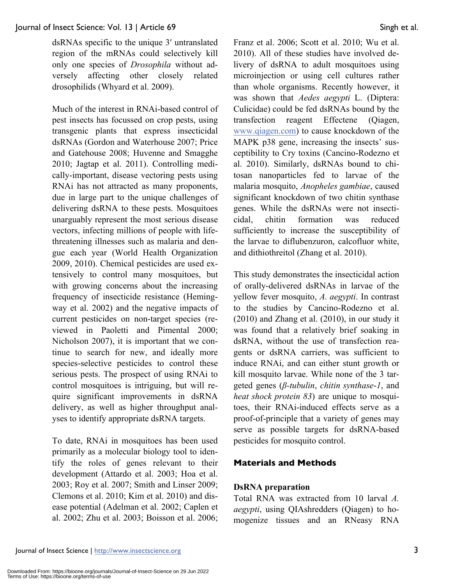dsRNAs specific to the unique 3′ untranslated region of the mRNAs could selectively kill only one species of *Drosophila* without adversely affecting other closely related drosophilids (Whyard et al. 2009).

Much of the interest in RNAi-based control of pest insects has focussed on crop pests, using transgenic plants that express insecticidal dsRNAs (Gordon and Waterhouse 2007; Price and Gatehouse 2008; Huvenne and Smagghe 2010; Jagtap et al. 2011). Controlling medically-important, disease vectoring pests using RNAi has not attracted as many proponents, due in large part to the unique challenges of delivering dsRNA to these pests. Mosquitoes unarguably represent the most serious disease vectors, infecting millions of people with lifethreatening illnesses such as malaria and dengue each year (World Health Organization 2009, 2010). Chemical pesticides are used extensively to control many mosquitoes, but with growing concerns about the increasing frequency of insecticide resistance (Hemingway et al. 2002) and the negative impacts of current pesticides on non-target species (reviewed in Paoletti and Pimental 2000; Nicholson 2007), it is important that we continue to search for new, and ideally more species-selective pesticides to control these serious pests. The prospect of using RNAi to control mosquitoes is intriguing, but will require significant improvements in dsRNA delivery, as well as higher throughput analyses to identify appropriate dsRNA targets.

To date, RNAi in mosquitoes has been used primarily as a molecular biology tool to identify the roles of genes relevant to their development (Attardo et al. 2003; Hoa et al. 2003; Roy et al. 2007; Smith and Linser 2009; Clemons et al. 2010; Kim et al. 2010) and disease potential (Adelman et al. 2002; Caplen et al. 2002; Zhu et al. 2003; Boisson et al. 2006; Franz et al. 2006; Scott et al. 2010; Wu et al. 2010). All of these studies have involved delivery of dsRNA to adult mosquitoes using microinjection or using cell cultures rather than whole organisms. Recently however, it was shown that *Aedes aegypti* L. (Diptera: Culicidae) could be fed dsRNAs bound by the transfection reagent Effectene (Qiagen, www.qiagen.com) to cause knockdown of the MAPK p38 gene, increasing the insects' susceptibility to Cry toxins (Cancino-Rodezno et al. 2010). Similarly, dsRNAs bound to chitosan nanoparticles fed to larvae of the malaria mosquito, *Anopheles gambiae*, caused significant knockdown of two chitin synthase genes. While the dsRNAs were not insecticidal, chitin formation was reduced sufficiently to increase the susceptibility of the larvae to diflubenzuron, calcofluor white, and dithiothreitol (Zhang et al. 2010).

This study demonstrates the insecticidal action of orally-delivered dsRNAs in larvae of the yellow fever mosquito, *A. aegypti*. In contrast to the studies by Cancino-Rodezno et al. (2010) and Zhang et al. (2010), in our study it was found that a relatively brief soaking in dsRNA, without the use of transfection reagents or dsRNA carriers, was sufficient to induce RNAi, and can either stunt growth or kill mosquito larvae. While none of the 3 targeted genes (*β-tubulin*, *chitin synthase*-*1*, and *heat shock protein 83*) are unique to mosquitoes, their RNAi-induced effects serve as a proof-of-principle that a variety of genes may serve as possible targets for dsRNA-based pesticides for mosquito control.

### **Materials and Methods**

### **DsRNA preparation**

Total RNA was extracted from 10 larval *A. aegypti*, using QIAshredders (Qiagen) to homogenize tissues and an RNeasy RNA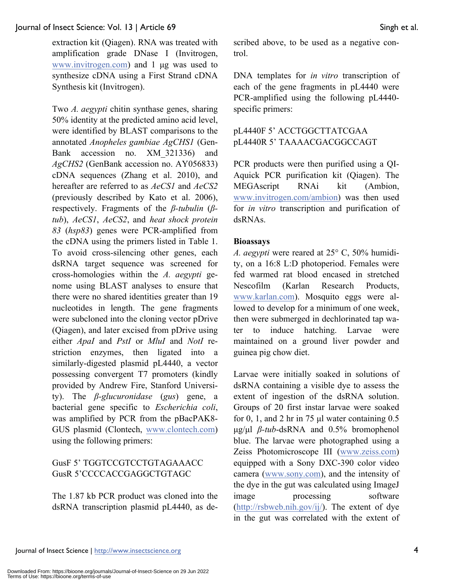extraction kit (Qiagen). RNA was treated with amplification grade DNase I (Invitrogen, www.invitrogen.com) and 1 μg was used to synthesize cDNA using a First Strand cDNA Synthesis kit (Invitrogen).

Two *A. aegypti* chitin synthase genes, sharing 50% identity at the predicted amino acid level, were identified by BLAST comparisons to the annotated *Anopheles gambiae AgCHS1* (Gen-Bank accession no. XM\_321336) and *AgCHS2* (GenBank accession no. AY056833) cDNA sequences (Zhang et al. 2010), and hereafter are referred to as *AeCS1* and *AeCS2* (previously described by Kato et al. 2006), respectively. Fragments of the *β-tubulin* (*βtub*), *AeCS1*, *AeCS2*, and *heat shock protein 83* (*hsp83*) genes were PCR-amplified from the cDNA using the primers listed in Table 1. To avoid cross-silencing other genes, each dsRNA target sequence was screened for cross-homologies within the *A. aegypti* genome using BLAST analyses to ensure that there were no shared identities greater than 19 nucleotides in length. The gene fragments were subcloned into the cloning vector pDrive (Qiagen), and later excised from pDrive using either *ApaI* and *PstI* or *MluI* and *NotI* restriction enzymes, then ligated into a similarly-digested plasmid pL4440, a vector possessing convergent T7 promoters (kindly provided by Andrew Fire, Stanford University). The *β-glucuronidase* (*gus*) gene, a bacterial gene specific to *Escherichia coli*, was amplified by PCR from the pBacPAK8- GUS plasmid (Clontech, www.clontech.com) using the following primers:

# GusF 5' TGGTCCGTCCTGTAGAAACC GusR 5'CCCCACCGAGGCTGTAGC

The 1.87 kb PCR product was cloned into the dsRNA transcription plasmid pL4440, as described above, to be used as a negative control.

DNA templates for *in vitro* transcription of each of the gene fragments in pL4440 were PCR-amplified using the following pL4440 specific primers:

# pL4440F 5' ACCTGGCTTATCGAA pL4440R 5' TAAAACGACGGCCAGT

PCR products were then purified using a QI-Aquick PCR purification kit (Qiagen). The MEGAscript RNAi kit (Ambion, www.invitrogen.com/ambion) was then used for *in vitro* transcription and purification of dsRNAs.

### **Bioassays**

*A. aegypti* were reared at 25° C, 50% humidity, on a 16:8 L:D photoperiod. Females were fed warmed rat blood encased in stretched Nescofilm (Karlan Research Products, www.karlan.com). Mosquito eggs were allowed to develop for a minimum of one week, then were submerged in dechlorinated tap water to induce hatching. Larvae were maintained on a ground liver powder and guinea pig chow diet.

Larvae were initially soaked in solutions of dsRNA containing a visible dye to assess the extent of ingestion of the dsRNA solution. Groups of 20 first instar larvae were soaked for 0, 1, and 2 hr in 75  $\mu$ l water containing 0.5 μg/μl *β-tub*-dsRNA and 0.5% bromophenol blue. The larvae were photographed using a Zeiss Photomicroscope III (www.zeiss.com) equipped with a Sony DXC-390 color video camera (www.sony.com), and the intensity of the dye in the gut was calculated using ImageJ image processing software (http://rsbweb.nih.gov/ij/). The extent of dye in the gut was correlated with the extent of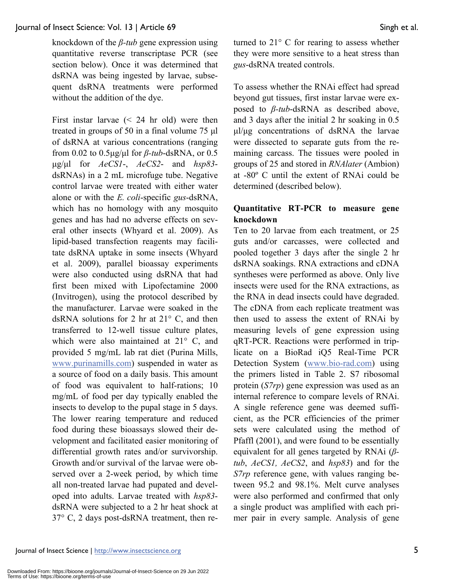knockdown of the *β-tub* gene expression using quantitative reverse transcriptase PCR (see section below). Once it was determined that dsRNA was being ingested by larvae, subsequent dsRNA treatments were performed without the addition of the dye.

First instar larvae  $(24 \text{ hr}$  old) were then treated in groups of 50 in a final volume 75 μl of dsRNA at various concentrations (ranging from 0.02 to 0.5μg/μl for *β-tub*-dsRNA, or 0.5 μg/μl for *AeCS1*-, *AeCS2*- and *hsp83* dsRNAs) in a 2 mL microfuge tube. Negative control larvae were treated with either water alone or with the *E. coli*-specific *gus*-dsRNA, which has no homology with any mosquito genes and has had no adverse effects on several other insects (Whyard et al. 2009). As lipid-based transfection reagents may facilitate dsRNA uptake in some insects (Whyard et al. 2009), parallel bioassay experiments were also conducted using dsRNA that had first been mixed with Lipofectamine 2000 (Invitrogen), using the protocol described by the manufacturer. Larvae were soaked in the dsRNA solutions for 2 hr at 21° C, and then transferred to 12-well tissue culture plates, which were also maintained at 21° C, and provided 5 mg/mL lab rat diet (Purina Mills, www.purinamills.com) suspended in water as a source of food on a daily basis. This amount of food was equivalent to half-rations; 10 mg/mL of food per day typically enabled the insects to develop to the pupal stage in 5 days. The lower rearing temperature and reduced food during these bioassays slowed their development and facilitated easier monitoring of differential growth rates and/or survivorship. Growth and/or survival of the larvae were observed over a 2-week period, by which time all non-treated larvae had pupated and developed into adults. Larvae treated with *hsp83* dsRNA were subjected to a 2 hr heat shock at 37° C, 2 days post-dsRNA treatment, then returned to 21° C for rearing to assess whether they were more sensitive to a heat stress than *gus*-dsRNA treated controls.

To assess whether the RNAi effect had spread beyond gut tissues, first instar larvae were exposed to *β-tub*-dsRNA as described above, and 3 days after the initial 2 hr soaking in 0.5 μl/μg concentrations of dsRNA the larvae were dissected to separate guts from the remaining carcass. The tissues were pooled in groups of 25 and stored in *RNAlater* (Ambion) at -80º C until the extent of RNAi could be determined (described below).

# **Quantitative RT-PCR to measure gene knockdown**

Ten to 20 larvae from each treatment, or 25 guts and/or carcasses, were collected and pooled together 3 days after the single 2 hr dsRNA soakings. RNA extractions and cDNA syntheses were performed as above. Only live insects were used for the RNA extractions, as the RNA in dead insects could have degraded. The cDNA from each replicate treatment was then used to assess the extent of RNAi by measuring levels of gene expression using qRT-PCR. Reactions were performed in triplicate on a BioRad iQ5 Real-Time PCR Detection System (www.bio-rad.com) using the primers listed in Table 2. S7 ribosomal protein (*S7rp*) gene expression was used as an internal reference to compare levels of RNAi. A single reference gene was deemed sufficient, as the PCR efficiencies of the primer sets were calculated using the method of Pfaffl (2001), and were found to be essentially equivalent for all genes targeted by RNAi (*βtub*, *AeCS1, AeCS2*, and *hsp83*) and for the *S7rp* reference gene, with values ranging between 95.2 and 98.1%. Melt curve analyses were also performed and confirmed that only a single product was amplified with each primer pair in every sample. Analysis of gene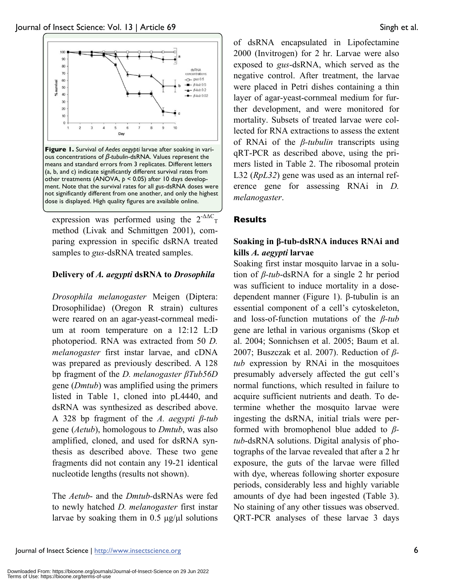

**Figure 1.** Survival of *Aedes aegypti* larvae after soaking in various concentrations of *β-tubulin*-dsRNA. Values represent the means and standard errors from 3 replicates. Different letters (a, b, and c) indicate significantly different survival rates from other treatments (ANOVA, *p* < 0.05) after 10 days development. Note that the survival rates for all *gus*-dsRNA doses were not significantly different from one another, and only the highest dose is displayed. High quality figures are available online.

expression was performed using the  $2^{-\Delta\Delta C}$ method (Livak and Schmittgen 2001), comparing expression in specific dsRNA treated samples to *gus*-dsRNA treated samples.

#### **Delivery of** *A. aegypti* **dsRNA to** *Drosophila*

*Drosophila melanogaster* Meigen (Diptera: Drosophilidae) (Oregon R strain) cultures were reared on an agar-yeast-cornmeal medium at room temperature on a 12:12 L:D photoperiod. RNA was extracted from 50 *D. melanogaster* first instar larvae, and cDNA was prepared as previously described. A 128 bp fragment of the *D. melanogaster βTub56D* gene (*Dmtub*) was amplified using the primers listed in Table 1, cloned into pL4440, and dsRNA was synthesized as described above. A 328 bp fragment of the *A. aegypti β-tub* gene (*Aetub*), homologous to *Dmtub*, was also amplified, cloned, and used for dsRNA synthesis as described above. These two gene fragments did not contain any 19-21 identical nucleotide lengths (results not shown).

The *Aetub*- and the *Dmtub-*dsRNAs were fed to newly hatched *D. melanogaster* first instar larvae by soaking them in  $0.5 \mu g/\mu l$  solutions of dsRNA encapsulated in Lipofectamine 2000 (Invitrogen) for 2 hr. Larvae were also exposed to *gus*-dsRNA, which served as the negative control. After treatment, the larvae were placed in Petri dishes containing a thin layer of agar-yeast-cornmeal medium for further development, and were monitored for mortality. Subsets of treated larvae were collected for RNA extractions to assess the extent of RNAi of the *β-tubulin* transcripts using qRT-PCR as described above, using the primers listed in Table 2. The ribosomal protein L32 (*RpL32*) gene was used as an internal reference gene for assessing RNAi in *D. melanogaster*.

### **Results**

# **Soaking in β-tub-dsRNA induces RNAi and kills** *A. aegypti* **larvae**

Soaking first instar mosquito larvae in a solution of *β-tub*-dsRNA for a single 2 hr period was sufficient to induce mortality in a dosedependent manner (Figure 1). β-tubulin is an essential component of a cell's cytoskeleton, and loss-of-function mutations of the *β-tub* gene are lethal in various organisms (Skop et al. 2004; Sonnichsen et al. 2005; Baum et al. 2007; Buszczak et al. 2007). Reduction of *βtub* expression by RNAi in the mosquitoes presumably adversely affected the gut cell's normal functions, which resulted in failure to acquire sufficient nutrients and death. To determine whether the mosquito larvae were ingesting the dsRNA, initial trials were performed with bromophenol blue added to *βtub*-dsRNA solutions. Digital analysis of photographs of the larvae revealed that after a 2 hr exposure, the guts of the larvae were filled with dye, whereas following shorter exposure periods, considerably less and highly variable amounts of dye had been ingested (Table 3). No staining of any other tissues was observed. QRT-PCR analyses of these larvae 3 days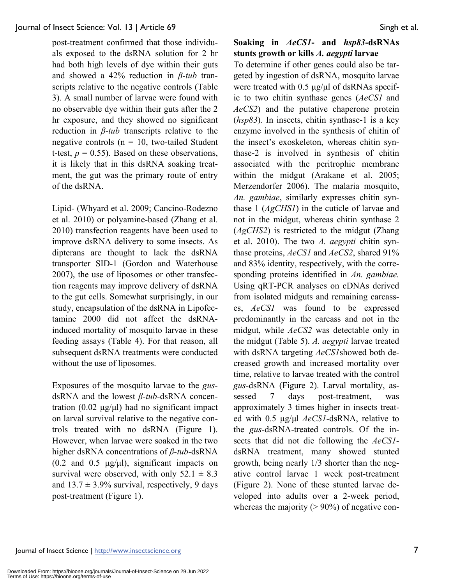post-treatment confirmed that those individuals exposed to the dsRNA solution for 2 hr had both high levels of dye within their guts and showed a 42% reduction in *β-tub* transcripts relative to the negative controls (Table 3). A small number of larvae were found with no observable dye within their guts after the 2 hr exposure, and they showed no significant reduction in *β-tub* transcripts relative to the negative controls ( $n = 10$ , two-tailed Student t-test,  $p = 0.55$ ). Based on these observations, it is likely that in this dsRNA soaking treatment, the gut was the primary route of entry of the dsRNA.

Lipid- (Whyard et al. 2009; Cancino-Rodezno et al. 2010) or polyamine-based (Zhang et al. 2010) transfection reagents have been used to improve dsRNA delivery to some insects. As dipterans are thought to lack the dsRNA transporter SID-1 (Gordon and Waterhouse 2007), the use of liposomes or other transfection reagents may improve delivery of dsRNA to the gut cells. Somewhat surprisingly, in our study, encapsulation of the dsRNA in Lipofectamine 2000 did not affect the dsRNAinduced mortality of mosquito larvae in these feeding assays (Table 4). For that reason, all subsequent dsRNA treatments were conducted without the use of liposomes.

Exposures of the mosquito larvae to the *gus*dsRNA and the lowest *β-tub*-dsRNA concentration  $(0.02 \mu g/\mu l)$  had no significant impact on larval survival relative to the negative controls treated with no dsRNA (Figure 1). However, when larvae were soaked in the two higher dsRNA concentrations of *β-tub*-dsRNA  $(0.2 \text{ and } 0.5 \text{ µg/µl})$ , significant impacts on survival were observed, with only  $52.1 \pm 8.3$ and  $13.7 \pm 3.9\%$  survival, respectively, 9 days post-treatment (Figure 1).

# **Soaking in** *AeCS1***- and** *hsp83***-dsRNAs stunts growth or kills** *A. aegypti* **larvae**

To determine if other genes could also be targeted by ingestion of dsRNA, mosquito larvae were treated with 0.5 μg/μl of dsRNAs specific to two chitin synthase genes (*AeCS1* and *AeCS2*) and the putative chaperone protein (*hsp83*)*.* In insects, chitin synthase-1 is a key enzyme involved in the synthesis of chitin of the insect's exoskeleton, whereas chitin synthase-2 is involved in synthesis of chitin associated with the peritrophic membrane within the midgut (Arakane et al. 2005; Merzendorfer 2006). The malaria mosquito, *An. gambiae*, similarly expresses chitin synthase 1 (*AgCHS1*) in the cuticle of larvae and not in the midgut, whereas chitin synthase 2 (*AgCHS2*) is restricted to the midgut (Zhang et al. 2010). The two *A. aegypti* chitin synthase proteins, *AeCS1* and *AeCS2*, shared 91% and 83% identity, respectively, with the corresponding proteins identified in *An. gambiae.* Using qRT-PCR analyses on cDNAs derived from isolated midguts and remaining carcasses, *AeCS1* was found to be expressed predominantly in the carcass and not in the midgut, while *AeCS2* was detectable only in the midgut (Table 5). *A. aegypti* larvae treated with dsRNA targeting *AeCS1*showed both decreased growth and increased mortality over time, relative to larvae treated with the control *gus*-dsRNA (Figure 2). Larval mortality, assessed 7 days post-treatment, was approximately 3 times higher in insects treated with 0.5 μg/μl *AeCS1*-dsRNA, relative to the *gus*-dsRNA-treated controls. Of the insects that did not die following the *AeCS1* dsRNA treatment, many showed stunted growth, being nearly 1/3 shorter than the negative control larvae 1 week post-treatment (Figure 2). None of these stunted larvae developed into adults over a 2-week period, whereas the majority  $(> 90\%)$  of negative con-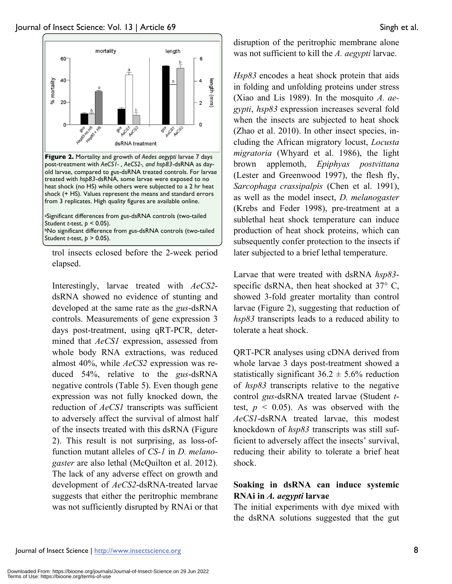

**Figure 2.** Mortality and growth of *Aedes aegypti* larvae 7 days post-treatment with *AeCS1- , AeCS2-, and hsp83*-dsRNA as dayold larvae, compared to *gus*-dsRNA treated controls. For larvae treated with *hsp83*-dsRNA, some larvae were exposed to no heat shock (no HS) while others were subjected to a 2 hr heat shock (+ HS). Values represent the means and standard errors from 3 replicates. High quality figures are available online.

aSignificant differences from *gus*-dsRNA controls (two-tailed Student *t*-test, *p* < 0.05).<br><sup>b</sup>No significant difference from *gus*-dsRNA controls (two-tailed Student *t*-test, *p* > 0.05).

trol insects eclosed before the 2-week period elapsed.

Interestingly, larvae treated with *AeCS2* dsRNA showed no evidence of stunting and developed at the same rate as the *gus*-dsRNA controls. Measurements of gene expression 3 days post-treatment, using qRT-PCR, determined that *AeCS1* expression, assessed from whole body RNA extractions, was reduced almost 40%, while *AeCS2* expression was reduced 54%, relative to the *gus*-dsRNA negative controls (Table 5). Even though gene expression was not fully knocked down, the reduction of *AeCS1* transcripts was sufficient to adversely affect the survival of almost half of the insects treated with this dsRNA (Figure 2). This result is not surprising, as loss-offunction mutant alleles of *CS-1* in *D. melanogaster* are also lethal (McQuilton et al. 2012). The lack of any adverse effect on growth and development of *AeCS2*-dsRNA-treated larvae suggests that either the peritrophic membrane was not sufficiently disrupted by RNAi or that disruption of the peritrophic membrane alone was not sufficient to kill the *A. aegypti* larvae.

*Hsp83* encodes a heat shock protein that aids in folding and unfolding proteins under stress (Xiao and Lis 1989). In the mosquito *A. aegypti*, *hsp83* expression increases several fold when the insects are subjected to heat shock (Zhao et al. 2010). In other insect species, including the African migratory locust, *Locusta migratoria* (Whyard et al. 1986), the light brown applemoth, *Epiphyas postvittana* (Lester and Greenwood 1997), the flesh fly, *Sarcophaga crassipalpis* (Chen et al. 1991), as well as the model insect, *D. melanogaster* (Krebs and Feder 1998), pre-treatment at a sublethal heat shock temperature can induce production of heat shock proteins, which can subsequently confer protection to the insects if later subjected to a brief lethal temperature.

Larvae that were treated with dsRNA *hsp83* specific dsRNA, then heat shocked at 37° C, showed 3-fold greater mortality than control larvae (Figure 2), suggesting that reduction of *hsp83* transcripts leads to a reduced ability to tolerate a heat shock.

QRT-PCR analyses using cDNA derived from whole larvae 3 days post-treatment showed a statistically significant  $36.2 \pm 5.6\%$  reduction of *hsp83* transcripts relative to the negative control *gus*-dsRNA treated larvae (Student *t*test,  $p \leq 0.05$ ). As was observed with the *AeCS1*-dsRNA treated larvae, this modest knockdown of *hsp83* transcripts was still sufficient to adversely affect the insects' survival, reducing their ability to tolerate a brief heat shock.

# **Soaking in dsRNA can induce systemic RNAi in** *A. aegypti* **larvae**

The initial experiments with dye mixed with the dsRNA solutions suggested that the gut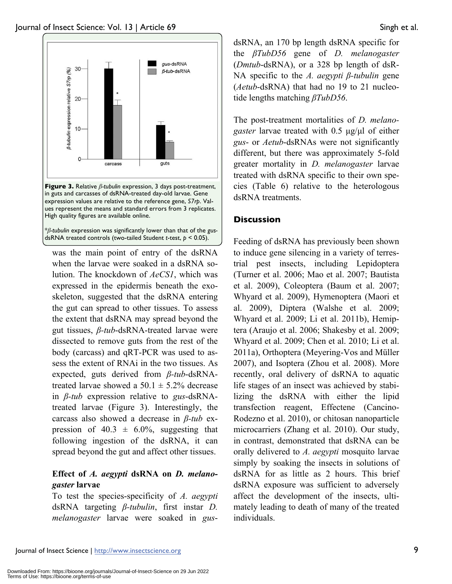

in guts and carcasses of dsRNA-treated day-old larvae. Gene expression values are relative to the reference gene, *S7rp*. Values represent the means and standard errors from 3 replicates. High quality figures are available online.

\**β-tubulin* expression was significantly lower than that of the *gus*dsRNA treated controls (two-tailed Student *t*-test, *p* < 0.05).

was the main point of entry of the dsRNA when the larvae were soaked in a dsRNA solution. The knockdown of *AeCS1*, which was expressed in the epidermis beneath the exoskeleton, suggested that the dsRNA entering the gut can spread to other tissues. To assess the extent that dsRNA may spread beyond the gut tissues, *β-tub*-dsRNA-treated larvae were dissected to remove guts from the rest of the body (carcass) and qRT-PCR was used to assess the extent of RNAi in the two tissues. As expected, guts derived from *β-tub*-dsRNAtreated larvae showed a  $50.1 \pm 5.2\%$  decrease in *β-tub* expression relative to *gus*-dsRNAtreated larvae (Figure 3). Interestingly, the carcass also showed a decrease in *β-tub* expression of  $40.3 \pm 6.0\%$ , suggesting that following ingestion of the dsRNA, it can spread beyond the gut and affect other tissues.

# **Effect of** *A. aegypti* **dsRNA on** *D. melanogaster* **larvae**

To test the species-specificity of *A. aegypti* dsRNA targeting *β-tubulin*, first instar *D. melanogaster* larvae were soaked in *gus*- dsRNA, an 170 bp length dsRNA specific for the *βTubD56* gene of *D. melanogaster* (*Dmtub*-dsRNA), or a 328 bp length of dsR-NA specific to the *A. aegypti β-tubulin* gene (*Aetub*-dsRNA) that had no 19 to 21 nucleotide lengths matching *βTubD56*.

The post-treatment mortalities of *D. melanogaster* larvae treated with 0.5 μg/μl of either *gus*- or *Aetub*-dsRNAs were not significantly different, but there was approximately 5-fold greater mortality in *D. melanogaster* larvae treated with dsRNA specific to their own species (Table 6) relative to the heterologous dsRNA treatments.

### **Discussion**

Feeding of dsRNA has previously been shown to induce gene silencing in a variety of terrestrial pest insects, including Lepidoptera (Turner et al. 2006; Mao et al. 2007; Bautista et al. 2009), Coleoptera (Baum et al. 2007; Whyard et al. 2009), Hymenoptera (Maori et al. 2009), Diptera (Walshe et al. 2009; Whyard et al. 2009; Li et al. 2011b), Hemiptera (Araujo et al. 2006; Shakesby et al. 2009; Whyard et al. 2009; Chen et al. 2010; Li et al. 2011a), Orthoptera (Meyering-Vos and Müller 2007), and Isoptera (Zhou et al. 2008). More recently, oral delivery of dsRNA to aquatic life stages of an insect was achieved by stabilizing the dsRNA with either the lipid transfection reagent, Effectene (Cancino-Rodezno et al. 2010), or chitosan nanoparticle microcarriers (Zhang et al. 2010). Our study, in contrast, demonstrated that dsRNA can be orally delivered to *A. aegypti* mosquito larvae simply by soaking the insects in solutions of dsRNA for as little as 2 hours. This brief dsRNA exposure was sufficient to adversely affect the development of the insects, ultimately leading to death of many of the treated individuals.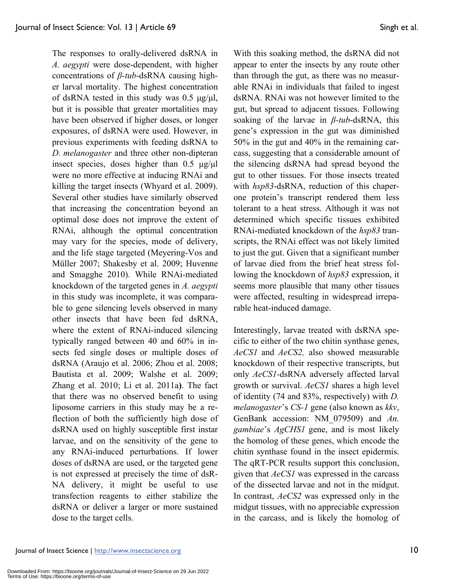The responses to orally-delivered dsRNA in *A. aegypti* were dose-dependent, with higher concentrations of *β-tub*-dsRNA causing higher larval mortality. The highest concentration of dsRNA tested in this study was  $0.5 \mu g/\mu l$ , but it is possible that greater mortalities may have been observed if higher doses, or longer exposures, of dsRNA were used. However, in previous experiments with feeding dsRNA to *D. melanogaster* and three other non-dipteran insect species, doses higher than 0.5 μg/μl were no more effective at inducing RNAi and killing the target insects (Whyard et al. 2009). Several other studies have similarly observed that increasing the concentration beyond an optimal dose does not improve the extent of RNAi, although the optimal concentration may vary for the species, mode of delivery, and the life stage targeted (Meyering-Vos and Müller 2007; Shakesby et al. 2009; Huvenne and Smagghe 2010). While RNAi-mediated knockdown of the targeted genes in *A. aegypti* in this study was incomplete, it was comparable to gene silencing levels observed in many other insects that have been fed dsRNA, where the extent of RNAi-induced silencing typically ranged between 40 and 60% in insects fed single doses or multiple doses of dsRNA (Araujo et al. 2006; Zhou et al. 2008; Bautista et al. 2009; Walshe et al. 2009; Zhang et al. 2010; Li et al. 2011a**)**. The fact that there was no observed benefit to using liposome carriers in this study may be a reflection of both the sufficiently high dose of dsRNA used on highly susceptible first instar larvae, and on the sensitivity of the gene to any RNAi-induced perturbations. If lower doses of dsRNA are used, or the targeted gene is not expressed at precisely the time of dsR-NA delivery, it might be useful to use transfection reagents to either stabilize the dsRNA or deliver a larger or more sustained dose to the target cells.

With this soaking method, the dsRNA did not appear to enter the insects by any route other than through the gut, as there was no measurable RNAi in individuals that failed to ingest dsRNA. RNAi was not however limited to the gut, but spread to adjacent tissues. Following soaking of the larvae in *β-tub*-dsRNA, this gene's expression in the gut was diminished 50% in the gut and 40% in the remaining carcass, suggesting that a considerable amount of the silencing dsRNA had spread beyond the gut to other tissues. For those insects treated with *hsp83*-dsRNA, reduction of this chaperone protein's transcript rendered them less tolerant to a heat stress. Although it was not determined which specific tissues exhibited RNAi-mediated knockdown of the *hsp83* transcripts, the RNAi effect was not likely limited to just the gut. Given that a significant number of larvae died from the brief heat stress following the knockdown of *hsp83* expression, it seems more plausible that many other tissues were affected, resulting in widespread irreparable heat-induced damage.

Interestingly, larvae treated with dsRNA specific to either of the two chitin synthase genes, *AeCS1* and *AeCS2,* also showed measurable knockdown of their respective transcripts, but only *AeCS1-*dsRNA adversely affected larval growth or survival. *AeCS1* shares a high level of identity (74 and 83%, respectively) with *D. melanogaster*'s *CS-1* gene (also known as *kkv*, GenBank accession: NM 079509) and *An*. *gambiae*'s *AgCHS1* gene, and is most likely the homolog of these genes, which encode the chitin synthase found in the insect epidermis. The qRT-PCR results support this conclusion, given that *AeCS1* was expressed in the carcass of the dissected larvae and not in the midgut. In contrast, *AeCS2* was expressed only in the midgut tissues, with no appreciable expression in the carcass, and is likely the homolog of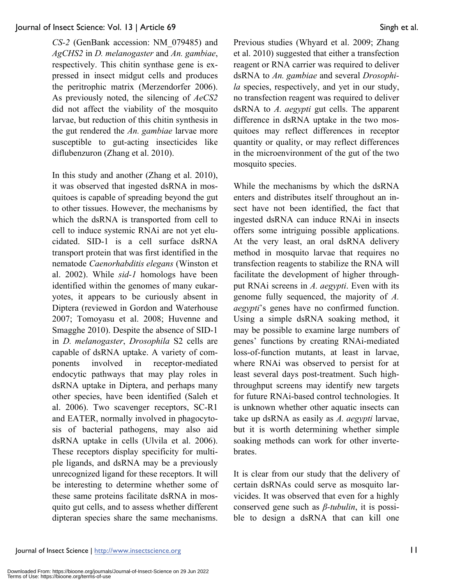*CS-2* (GenBank accession: NM\_079485) and *AgCHS2* in *D. melanogaster* and *An. gambiae*, respectively. This chitin synthase gene is expressed in insect midgut cells and produces the peritrophic matrix (Merzendorfer 2006). As previously noted, the silencing of *AeCS2* did not affect the viability of the mosquito larvae, but reduction of this chitin synthesis in the gut rendered the *An. gambiae* larvae more susceptible to gut-acting insecticides like diflubenzuron (Zhang et al. 2010).

In this study and another (Zhang et al. 2010), it was observed that ingested dsRNA in mosquitoes is capable of spreading beyond the gut to other tissues. However, the mechanisms by which the dsRNA is transported from cell to cell to induce systemic RNAi are not yet elucidated. SID-1 is a cell surface dsRNA transport protein that was first identified in the nematode *Caenorhabditis elegans* (Winston et al. 2002). While *sid-1* homologs have been identified within the genomes of many eukaryotes, it appears to be curiously absent in Diptera (reviewed in Gordon and Waterhouse 2007; Tomoyasu et al. 2008; Huvenne and Smagghe 2010). Despite the absence of SID-1 in *D. melanogaster*, *Drosophila* S2 cells are capable of dsRNA uptake. A variety of components involved in receptor-mediated endocytic pathways that may play roles in dsRNA uptake in Diptera, and perhaps many other species, have been identified (Saleh et al. 2006). Two scavenger receptors, SC-R1 and EATER, normally involved in phagocytosis of bacterial pathogens, may also aid dsRNA uptake in cells (Ulvila et al. 2006). These receptors display specificity for multiple ligands, and dsRNA may be a previously unrecognized ligand for these receptors. It will be interesting to determine whether some of these same proteins facilitate dsRNA in mosquito gut cells, and to assess whether different dipteran species share the same mechanisms.

Previous studies (Whyard et al. 2009; Zhang et al. 2010) suggested that either a transfection reagent or RNA carrier was required to deliver dsRNA to *An. gambiae* and several *Drosophila* species, respectively, and yet in our study, no transfection reagent was required to deliver dsRNA to *A. aegypti* gut cells. The apparent difference in dsRNA uptake in the two mosquitoes may reflect differences in receptor quantity or quality, or may reflect differences in the microenvironment of the gut of the two mosquito species.

While the mechanisms by which the dsRNA enters and distributes itself throughout an insect have not been identified, the fact that ingested dsRNA can induce RNAi in insects offers some intriguing possible applications. At the very least, an oral dsRNA delivery method in mosquito larvae that requires no transfection reagents to stabilize the RNA will facilitate the development of higher throughput RNAi screens in *A. aegypti*. Even with its genome fully sequenced, the majority of *A. aegypti*'s genes have no confirmed function. Using a simple dsRNA soaking method, it may be possible to examine large numbers of genes' functions by creating RNAi-mediated loss-of-function mutants, at least in larvae, where RNAi was observed to persist for at least several days post-treatment. Such highthroughput screens may identify new targets for future RNAi-based control technologies. It is unknown whether other aquatic insects can take up dsRNA as easily as *A. aegypti* larvae, but it is worth determining whether simple soaking methods can work for other invertebrates.

It is clear from our study that the delivery of certain dsRNAs could serve as mosquito larvicides. It was observed that even for a highly conserved gene such as *β-tubulin*, it is possible to design a dsRNA that can kill one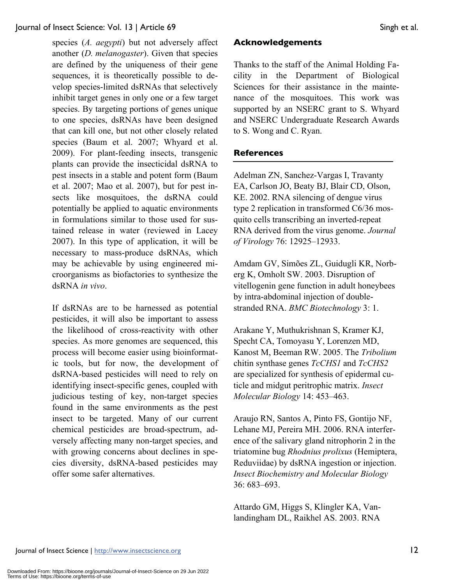species (*A. aegypti*) but not adversely affect another (*D. melanogaster*). Given that species are defined by the uniqueness of their gene sequences, it is theoretically possible to develop species-limited dsRNAs that selectively inhibit target genes in only one or a few target species. By targeting portions of genes unique to one species, dsRNAs have been designed that can kill one, but not other closely related species (Baum et al. 2007; Whyard et al. 2009). For plant-feeding insects, transgenic plants can provide the insecticidal dsRNA to pest insects in a stable and potent form (Baum et al. 2007; Mao et al. 2007), but for pest insects like mosquitoes, the dsRNA could potentially be applied to aquatic environments in formulations similar to those used for sustained release in water (reviewed in Lacey 2007). In this type of application, it will be necessary to mass-produce dsRNAs, which may be achievable by using engineered microorganisms as biofactories to synthesize the dsRNA *in vivo*.

If dsRNAs are to be harnessed as potential pesticides, it will also be important to assess the likelihood of cross-reactivity with other species. As more genomes are sequenced, this process will become easier using bioinformatic tools, but for now, the development of dsRNA-based pesticides will need to rely on identifying insect-specific genes, coupled with judicious testing of key, non-target species found in the same environments as the pest insect to be targeted. Many of our current chemical pesticides are broad-spectrum, adversely affecting many non-target species, and with growing concerns about declines in species diversity, dsRNA-based pesticides may offer some safer alternatives.

### **Acknowledgements**

Thanks to the staff of the Animal Holding Facility in the Department of Biological Sciences for their assistance in the maintenance of the mosquitoes. This work was supported by an NSERC grant to S. Whyard and NSERC Undergraduate Research Awards to S. Wong and C. Ryan.

### **References**

Adelman ZN, Sanchez-Vargas I, Travanty EA, Carlson JO, Beaty BJ, Blair CD, Olson, KE. 2002. RNA silencing of dengue virus type 2 replication in transformed C6/36 mosquito cells transcribing an inverted-repeat RNA derived from the virus genome. *Journal of Virology* 76: 12925–12933.

Amdam GV, Simões ZL, Guidugli KR, Norberg K, Omholt SW. 2003. Disruption of vitellogenin gene function in adult honeybees by intra-abdominal injection of doublestranded RNA. *BMC Biotechnology* 3: 1.

Arakane Y, Muthukrishnan S, Kramer KJ, Specht CA, Tomoyasu Y, Lorenzen MD, Kanost M, Beeman RW. 2005. The *Tribolium* chitin synthase genes *TcCHS1* and *TcCHS2* are specialized for synthesis of epidermal cuticle and midgut peritrophic matrix. *Insect Molecular Biology* 14: 453–463.

Araujo RN, Santos A, Pinto FS, Gontijo NF, Lehane MJ, Pereira MH. 2006. RNA interference of the salivary gland nitrophorin 2 in the triatomine bug *Rhodnius prolixus* (Hemiptera, Reduviidae) by dsRNA ingestion or injection. *Insect Biochemistry and Molecular Biology* 36: 683–693.

Attardo GM, Higgs S, Klingler KA, Vanlandingham DL, Raikhel AS. 2003. RNA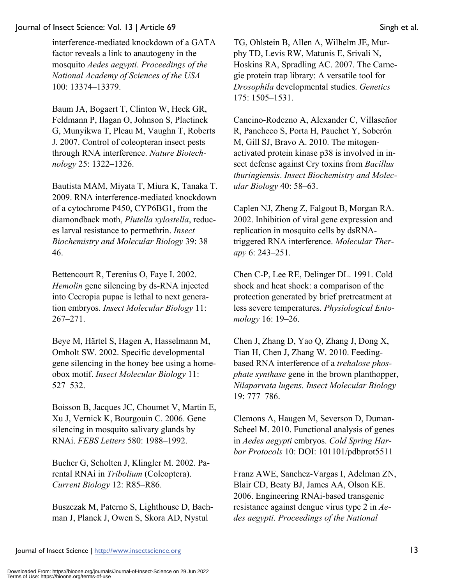interference-mediated knockdown of a GATA factor reveals a link to anautogeny in the mosquito *Aedes aegypti*. *Proceedings of the National Academy of Sciences of the USA* 100: 13374–13379.

Baum JA, Bogaert T, Clinton W, Heck GR, Feldmann P, Ilagan O, Johnson S, Plaetinck G, Munyikwa T, Pleau M, Vaughn T, Roberts J. 2007. Control of coleopteran insect pests through RNA interference. *Nature Biotechnology* 25: 1322–1326.

Bautista MAM, Miyata T, Miura K, Tanaka T. 2009. RNA interference-mediated knockdown of a cytochrome P450, CYP6BG1, from the diamondback moth, *Plutella xylostella*, reduces larval resistance to permethrin. *Insect Biochemistry and Molecular Biology* 39: 38– 46.

Bettencourt R, Terenius O, Faye I. 2002. *Hemolin* gene silencing by ds-RNA injected into Cecropia pupae is lethal to next generation embryos. *Insect Molecular Biology* 11: 267–271.

Beye M, Härtel S, Hagen A, Hasselmann M, Omholt SW. 2002. Specific developmental gene silencing in the honey bee using a homeobox motif. *Insect Molecular Biology* 11: 527–532.

Boisson B, Jacques JC, Choumet V, Martin E, Xu J, Vernick K, Bourgouin C. 2006. Gene silencing in mosquito salivary glands by RNAi. *FEBS Letters* 580: 1988–1992.

Bucher G, Scholten J, Klingler M. 2002. Parental RNAi in *Tribolium* (Coleoptera). *Current Biology* 12: R85–R86.

Buszczak M, Paterno S, Lighthouse D, Bachman J, Planck J, Owen S, Skora AD, Nystul

TG, Ohlstein B, Allen A, Wilhelm JE, Murphy TD, Levis RW, Matunis E, Srivali N, Hoskins RA, Spradling AC. 2007. The Carnegie protein trap library: A versatile tool for *Drosophila* developmental studies. *Genetics* 175: 1505–1531.

Cancino-Rodezno A, Alexander C, Villaseñor R, Pancheco S, Porta H, Pauchet Y, Soberón M, Gill SJ, Bravo A. 2010. The mitogenactivated protein kinase p38 is involved in insect defense against Cry toxins from *Bacillus thuringiensis*. *Insect Biochemistry and Molecular Biology* 40: 58–63.

Caplen NJ, Zheng Z, Falgout B, Morgan RA. 2002. Inhibition of viral gene expression and replication in mosquito cells by dsRNAtriggered RNA interference. *Molecular Therapy* 6: 243–251.

Chen C-P, Lee RE, Delinger DL. 1991. Cold shock and heat shock: a comparison of the protection generated by brief pretreatment at less severe temperatures. *Physiological Entomology* 16: 19–26.

Chen J, Zhang D, Yao Q, Zhang J, Dong X, Tian H, Chen J, Zhang W. 2010. Feedingbased RNA interference of a *trehalose phosphate synthase* gene in the brown planthopper, *Nilaparvata lugens*. *Insect Molecular Biology* 19: 777–786.

Clemons A, Haugen M, Severson D, Duman-Scheel M. 2010. Functional analysis of genes in *Aedes aegypti* embryos. *Cold Spring Harbor Protocols* 10: DOI: 101101/pdbprot5511

Franz AWE, Sanchez-Vargas I, Adelman ZN, Blair CD, Beaty BJ, James AA, Olson KE. 2006. Engineering RNAi-based transgenic resistance against dengue virus type 2 in *Aedes aegypti*. *Proceedings of the National*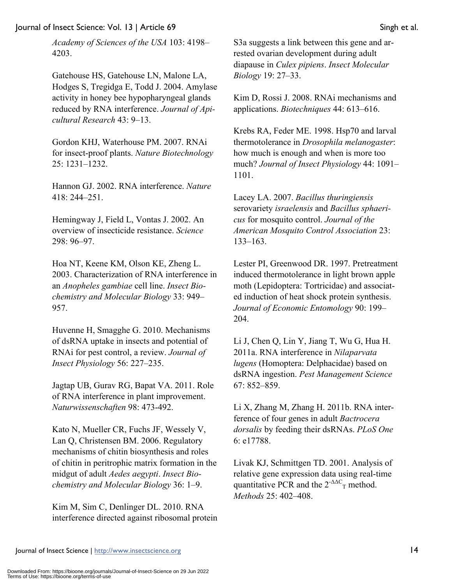*Academy of Sciences of the USA* 103: 4198– 4203.

Gatehouse HS, Gatehouse LN, Malone LA, Hodges S, Tregidga E, Todd J. 2004. Amylase activity in honey bee hypopharyngeal glands reduced by RNA interference. *Journal of Apicultural Research* 43: 9–13.

Gordon KHJ, Waterhouse PM. 2007. RNAi for insect-proof plants. *Nature Biotechnology* 25: 1231–1232.

Hannon GJ. 2002. RNA interference. *Nature* 418: 244–251.

Hemingway J, Field L, Vontas J. 2002. An overview of insecticide resistance. *Science* 298: 96–97.

Hoa NT, Keene KM, Olson KE, Zheng L. 2003. Characterization of RNA interference in an *Anopheles gambiae* cell line. *Insect Biochemistry and Molecular Biology* 33: 949– 957.

Huvenne H, Smagghe G. 2010. Mechanisms of dsRNA uptake in insects and potential of RNAi for pest control, a review. *Journal of Insect Physiology* 56: 227–235.

Jagtap UB, Gurav RG, Bapat VA. 2011. Role of RNA interference in plant improvement. *Naturwissenschaften* 98: 473-492.

Kato N, Mueller CR, Fuchs JF, Wessely V, Lan Q, Christensen BM. 2006. Regulatory mechanisms of chitin biosynthesis and roles of chitin in peritrophic matrix formation in the midgut of adult *Aedes aegypti*. *Insect Biochemistry and Molecular Biology* 36: 1–9.

Kim M, Sim C, Denlinger DL. 2010. RNA interference directed against ribosomal protein S3a suggests a link between this gene and arrested ovarian development during adult diapause in *Culex pipiens*. *Insect Molecular Biology* 19: 27–33.

Kim D, Rossi J. 2008. RNAi mechanisms and applications. *Biotechniques* 44: 613–616.

Krebs RA, Feder ME. 1998. Hsp70 and larval thermotolerance in *Drosophila melanogaster*: how much is enough and when is more too much? *Journal of Insect Physiology* 44: 1091– 1101.

Lacey LA. 2007. *Bacillus thuringiensis* serovariety *israelensis* and *Bacillus sphaericus* for mosquito control. *Journal of the American Mosquito Control Association* 23: 133–163.

Lester PI, Greenwood DR. 1997. Pretreatment induced thermotolerance in light brown apple moth (Lepidoptera: Tortricidae) and associated induction of heat shock protein synthesis. *Journal of Economic Entomology* 90: 199– 204.

Li J, Chen Q, Lin Y, Jiang T, Wu G, Hua H. 2011a. RNA interference in *Nilaparvata lugens* (Homoptera: Delphacidae) based on dsRNA ingestion. *Pest Management Science* 67: 852–859.

Li X, Zhang M, Zhang H. 2011b. RNA interference of four genes in adult *Bactrocera dorsalis* by feeding their dsRNAs. *PLoS One* 6: e17788.

Livak KJ, Schmittgen TD. 2001. Analysis of relative gene expression data using real-time quantitative PCR and the  $2^{-\Delta\Delta C}$ <sub>T</sub> method. *Methods* 25: 402–408.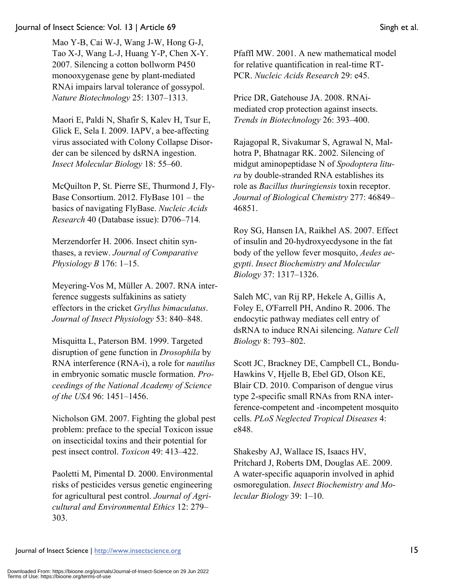Mao Y-B, Cai W-J, Wang J-W, Hong G-J, Tao X-J, Wang L-J, Huang Y-P, Chen X-Y. 2007. Silencing a cotton bollworm P450 monooxygenase gene by plant-mediated RNAi impairs larval tolerance of gossypol. *Nature Biotechnology* 25: 1307–1313.

Maori E, Paldi N, Shafir S, Kalev H, Tsur E, Glick E, Sela I. 2009. IAPV, a bee-affecting virus associated with Colony Collapse Disorder can be silenced by dsRNA ingestion. *Insect Molecular Biology* 18: 55–60.

McQuilton P, St. Pierre SE, Thurmond J, Fly-Base Consortium. 2012. FlyBase 101 – the basics of navigating FlyBase. *Nucleic Acids Research* 40 (Database issue): D706–714*.*

Merzendorfer H. 2006. Insect chitin synthases, a review. *Journal of Comparative Physiology B* 176: 1–15.

Meyering-Vos M, Müller A. 2007. RNA interference suggests sulfakinins as satiety effectors in the cricket *Gryllus bimaculatus*. *Journal of Insect Physiology* 53: 840–848.

Misquitta L, Paterson BM. 1999. Targeted disruption of gene function in *Drosophila* by RNA interference (RNA-i), a role for *nautilus* in embryonic somatic muscle formation. *Proceedings of the National Academy of Science of the USA* 96: 1451–1456.

Nicholson GM. 2007. Fighting the global pest problem: preface to the special Toxicon issue on insecticidal toxins and their potential for pest insect control. *Toxicon* 49: 413–422.

Paoletti M, Pimental D. 2000. Environmental risks of pesticides versus genetic engineering for agricultural pest control. *Journal of Agricultural and Environmental Ethics* 12: 279– 303.

Pfaffl MW. 2001. A new mathematical model for relative quantification in real-time RT-PCR. *Nucleic Acids Research* 29: e45.

Price DR, Gatehouse JA. 2008. RNAimediated crop protection against insects. *Trends in Biotechnology* 26: 393–400.

Rajagopal R, Sivakumar S, Agrawal N, Malhotra P, Bhatnagar RK. 2002. Silencing of midgut aminopeptidase N of *Spodoptera litura* by double-stranded RNA establishes its role as *Bacillus thuringiensis* toxin receptor. *Journal of Biological Chemistry* 277: 46849– 46851.

Roy SG, Hansen IA, Raikhel AS. 2007. Effect of insulin and 20-hydroxyecdysone in the fat body of the yellow fever mosquito, *Aedes aegypti*. *Insect Biochemistry and Molecular Biology* 37: 1317–1326.

Saleh MC, van Rij RP, Hekele A, Gillis A, Foley E, O'Farrell PH, Andino R. 2006. The endocytic pathway mediates cell entry of dsRNA to induce RNAi silencing. *Nature Cell Biology* 8: 793–802.

Scott JC, Brackney DE, Campbell CL, Bondu-Hawkins V, Hjelle B, Ebel GD, Olson KE, Blair CD. 2010. Comparison of dengue virus type 2-specific small RNAs from RNA interference-competent and -incompetent mosquito cells. *PLoS Neglected Tropical Diseases* 4: e848.

Shakesby AJ, Wallace IS, Isaacs HV, Pritchard J, Roberts DM, Douglas AE. 2009. A water-specific aquaporin involved in aphid osmoregulation. *Insect Biochemistry and Molecular Biology* 39: 1–10.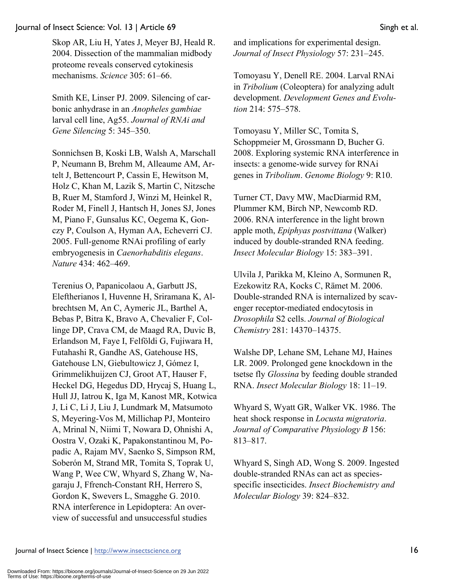Skop AR, Liu H, Yates J, Meyer BJ, Heald R. 2004. Dissection of the mammalian midbody proteome reveals conserved cytokinesis mechanisms. *Science* 305: 61–66.

Smith KE, Linser PJ. 2009. Silencing of carbonic anhydrase in an *Anopheles gambiae* larval cell line, Ag55. *Journal of RNAi and Gene Silencing* 5: 345–350.

Sonnichsen B, Koski LB, Walsh A, Marschall P, Neumann B, Brehm M, Alleaume AM, Artelt J, Bettencourt P, Cassin E, Hewitson M, Holz C, Khan M, Lazik S, Martin C, Nitzsche B, Ruer M, Stamford J, Winzi M, Heinkel R, Roder M, Finell J, Hantsch H, Jones SJ, Jones M, Piano F, Gunsalus KC, Oegema K, Gonczy P, Coulson A, Hyman AA, Echeverri CJ. 2005. Full-genome RNAi profiling of early embryogenesis in *Caenorhabditis elegans*. *Nature* 434: 462–469.

Terenius O, Papanicolaou A, Garbutt JS, Eleftherianos I, Huvenne H, Sriramana K, Albrechtsen M, An C, Aymeric JL, Barthel A, Bebas P, Bitra K, Bravo A, Chevalier F, Collinge DP, Crava CM, de Maagd RA, Duvic B, Erlandson M, Faye I, Felföldi G, Fujiwara H, Futahashi R, Gandhe AS, Gatehouse HS, Gatehouse LN, Giebultowicz J, Gómez I, Grimmelikhuijzen CJ, Groot AT, Hauser F, Heckel DG, Hegedus DD, Hrycaj S, Huang L, Hull JJ, Iatrou K, Iga M, Kanost MR, Kotwica J, Li C, Li J, Liu J, Lundmark M, Matsumoto S, Meyering-Vos M, Millichap PJ, Monteiro A, Mrinal N, Niimi T, Nowara D, Ohnishi A, Oostra V, Ozaki K, Papakonstantinou M, Popadic A, Rajam MV, Saenko S, Simpson RM, Soberón M, Strand MR, Tomita S, Toprak U, Wang P, Wee CW, Whyard S, Zhang W, Nagaraju J, Ffrench-Constant RH, Herrero S, Gordon K, Swevers L, Smagghe G. 2010. RNA interference in Lepidoptera: An overview of successful and unsuccessful studies

and implications for experimental design. *Journal of Insect Physiology* 57: 231–245.

Tomoyasu Y, Denell RE. 2004. Larval RNAi in *Tribolium* (Coleoptera) for analyzing adult development. *Development Genes and Evolution* 214: 575–578.

Tomoyasu Y, Miller SC, Tomita S, Schoppmeier M, Grossmann D, Bucher G. 2008. Exploring systemic RNA interference in insects: a genome-wide survey for RNAi genes in *Tribolium*. *Genome Biology* 9: R10.

Turner CT, Davy MW, MacDiarmid RM, Plummer KM, Birch NP, Newcomb RD. 2006. RNA interference in the light brown apple moth, *Epiphyas postvittana* (Walker) induced by double-stranded RNA feeding. *Insect Molecular Biology* 15: 383–391.

Ulvila J, Parikka M, Kleino A, Sormunen R, Ezekowitz RA, Kocks C, Rämet M. 2006. Double-stranded RNA is internalized by scavenger receptor-mediated endocytosis in *Drosophila* S2 cells. *Journal of Biological Chemistry* 281: 14370–14375.

Walshe DP, Lehane SM, Lehane MJ, Haines LR. 2009. Prolonged gene knockdown in the tsetse fly *Glossina* by feeding double stranded RNA. *Insect Molecular Biology* 18: 11–19.

Whyard S, Wyatt GR, Walker VK. 1986. The heat shock response in *Locusta migratoria*. *Journal of Comparative Physiology B* 156: 813–817.

Whyard S, Singh AD, Wong S. 2009. Ingested double-stranded RNAs can act as speciesspecific insecticides. *Insect Biochemistry and Molecular Biology* 39: 824–832.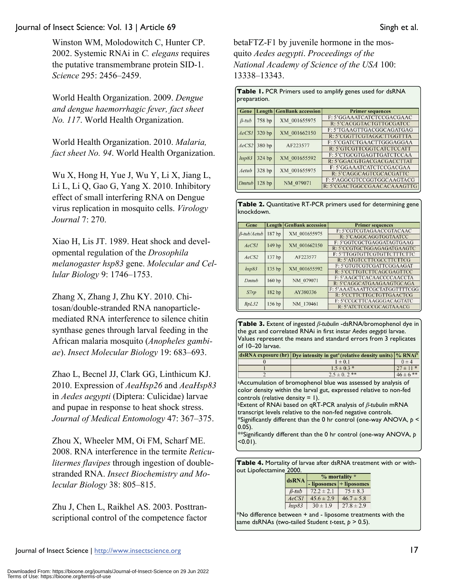Winston WM, Molodowitch C, Hunter CP. 2002. Systemic RNAi in *C. elegans* requires the putative transmembrane protein SID-1. *Science* 295: 2456–2459.

World Health Organization. 2009. *Dengue and dengue haemorrhagic fever, fact sheet No. 117*. World Health Organization.

World Health Organization. 2010. *Malaria, fact sheet No. 94*. World Health Organization.

Wu X, Hong H, Yue J, Wu Y, Li X, Jiang L, Li L, Li Q, Gao G, Yang X. 2010. Inhibitory effect of small interfering RNA on Dengue virus replication in mosquito cells. *Virology Journal* 7: 270.

Xiao H, Lis JT. 1989. Heat shock and developmental regulation of the *Drosophila melanogaster hsp83* gene. *Molecular and Cellular Biology* 9: 1746–1753.

Zhang X, Zhang J, Zhu KY. 2010. Chitosan/double-stranded RNA nanoparticlemediated RNA interference to silence chitin synthase genes through larval feeding in the African malaria mosquito (*Anopheles gambiae*). *Insect Molecular Biology* 19: 683–693.

Zhao L, Becnel JJ, Clark GG, Linthicum KJ. 2010. Expression of *AeaHsp26* and *AeaHsp83* in *Aedes aegypti* (Diptera: Culicidae) larvae and pupae in response to heat shock stress. *Journal of Medical Entomology* 47: 367–375.

Zhou X, Wheeler MM, Oi FM, Scharf ME. 2008. RNA interference in the termite *Reticulitermes flavipes* through ingestion of doublestranded RNA. *Insect Biochemistry and Molecular Biology* 38: 805–815.

Zhu J, Chen L, Raikhel AS. 2003. Posttranscriptional control of the competence factor betaFTZ-F1 by juvenile hormone in the mosquito *Aedes aegypti*. *Proceedings of the National Academy of Science of the USA* 100: 13338–13343.

| Gene         | Length            | <b>GenBank accession</b> | <b>Primer sequences</b>     |
|--------------|-------------------|--------------------------|-----------------------------|
|              | 758 bp            | XM 001655975             | F: 5'GGAAATCATCTCCGACGAAC   |
| $B$ -tub     |                   |                          | R: 5'CACGGTACTGTTGCGATCC    |
| <b>AeCS1</b> | 320 bp            | XM 001662150             | F: 5'TGAAGTTGACGGCAGATGAG   |
|              |                   |                          | R: 5'CGGTTCGTAGGCTTGGTTTA   |
| AeCS2        | 380 bp            | AF223577                 | F: 5'CGATCTGAACTTGGGAGGAA   |
|              |                   |                          | R: 5'GTCGTTCGGTCATCTCCATT   |
| hsp83        | 324 bp            | XM 001655592             | F: 5'CTGCGTGAGTTGATCTCCAA   |
|              |                   |                          | R: 5'GGACGTGACGACGACCTTAT   |
|              | 328 bp            | XM 001655975             | F: 5'GGAAATCATCTCCGACGAA    |
| Aetub        |                   |                          | R: 5'CAGGCAGTCGCACGATTC     |
|              | 128 <sub>bp</sub> | NM 079071                | F: 5'AGGCGTCCGGTGGCAAGTACG  |
| Dmtub        |                   |                          | R: 5'CGACTGGCCGAACACAAAGTTG |

**Table 2.** Quantitative RT-PCR primers used for determining gene knockdown.

| Gene        |        | <b>Length GenBank accession</b> | <b>Primer sequences</b>       |
|-------------|--------|---------------------------------|-------------------------------|
| B-tub/Aetub | 187 bp | XM 001655975                    | F: 5'CGTCGTAGAACCGTACAAC      |
|             |        |                                 | R: 5'CAGGCAGGTGGTAATCC        |
| AeCSI       | 149 bp | XM 001662150                    | F: 5'GGTCGCTGAGGATAGTGAAG     |
|             |        |                                 | R: 5'CCGTGCTGGAGAGATGAAGTC    |
| AeCS2       | 137 bp | AF223577                        | F: 5'TTGGTGTTCGTGTTCTTTCTTC   |
|             |        |                                 | R: 5'ATGTCCTTCGCCTTCTTCG      |
| hsp83       | 135 bp | XM 001655592                    | F: 5'GTGTCGTCGATTCGGAAGAT     |
|             |        |                                 | R: 5'CCTTGTCTTCAGCGAGTTCC     |
| Dmtub       | 160bp  | NM 079071                       | F: 5'AAGCTCACAACCCCAACCTA     |
|             |        |                                 | R: 5'CAGGCATGAAGAAGTGCAGA     |
| S7rp        | 182 bp | AY380336                        | F: 5'AAATAAATTCGCTATGGTTTTCGG |
|             |        |                                 | R: 5'CCTTCTTGCTGTTGAACTCG     |
| RpL32       | 156 bp | NM 170461                       | F: 5'CCGCTTCAAGGGACAGTATC     |
|             |        |                                 | R: 5'ATCTCGCCGCAGTAAACG       |

**Table 3.** Extent of ingested *β-tubulin* -dsRNA/bromophenol dye in the gut and correlated RNAi in first instar *Aedes aegypti* larvae. Values represent the means and standard errors from 3 replicates of 10–20 larvae.

| dsRNA exposure (hr) Dye intensity in gut <sup>a</sup> (relative density units) $\%$ RNAi <sup>b</sup> |               |
|-------------------------------------------------------------------------------------------------------|---------------|
| $1 \pm 0.1$                                                                                           | $0 \pm 4$     |
| $1.5 \pm 0.3*$                                                                                        | $27 \pm 11$ * |
| $2.5 \pm 0.2$ **                                                                                      | $46 \pm 6$ ** |

aAccumulation of bromophenol blue was assessed by analysis of color density within the larval gut, expressed relative to non-fed controls (relative density = 1).

bExtent of RNAi based on qRT-PCR analysis of *β-tubulin* mRNA transcript levels relative to the non-fed negative controls. \*Significantly different than the 0 hr control (one-way ANOVA, *p* < 0.05).

\*\*Significantly different than the 0 hr control (one-way ANOVA, *p*  $< 0.01$ ).

**Table 4.** Mortality of larvae after dsRNA treatment with or without Lipofectamine 2000.

| dsRNA    | $%$ mortality $*$ |                           |  |
|----------|-------------------|---------------------------|--|
|          |                   | - liposomes   + liposomes |  |
| $B$ -tub | $72.2 \pm 2.1$    | $75 \pm 8.3$              |  |
| AeCSI    | $45.6 \pm 2.9$    | $46.7 \pm 5.8$            |  |
| hsp83    | $30 \pm 1.9$      | $27.8 \pm 2.9$            |  |

\*No difference between + and - liposome treatments with the same dsRNAs (two-tailed Student *t*-test,  $p > 0.5$ ).